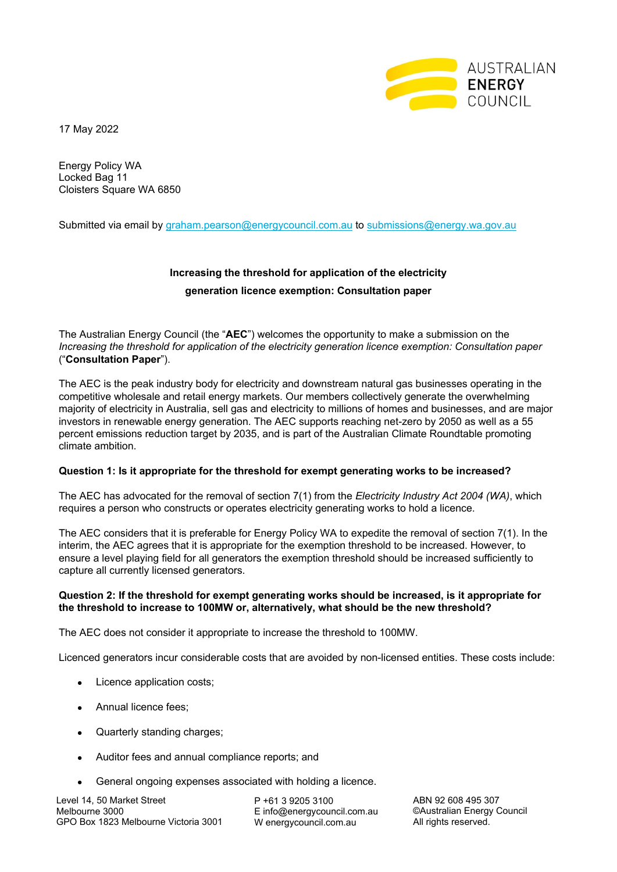

17 May 2022

Energy Policy WA Locked Bag 11 Cloisters Square WA 6850

Submitted via email by graham.pearson@energycouncil.com.au to submissions@energy.wa.gov.au

## **Increasing the threshold for application of the electricity generation licence exemption: Consultation paper**

The Australian Energy Council (the "**AEC**") welcomes the opportunity to make a submission on the *Increasing the threshold for application of the electricity generation licence exemption: Consultation paper* ("**Consultation Paper**").

The AEC is the peak industry body for electricity and downstream natural gas businesses operating in the competitive wholesale and retail energy markets. Our members collectively generate the overwhelming majority of electricity in Australia, sell gas and electricity to millions of homes and businesses, and are major investors in renewable energy generation. The AEC supports reaching net-zero by 2050 as well as a 55 percent emissions reduction target by 2035, and is part of the Australian Climate Roundtable promoting climate ambition.

## **Question 1: Is it appropriate for the threshold for exempt generating works to be increased?**

The AEC has advocated for the removal of section 7(1) from the *Electricity Industry Act 2004 (WA)*, which requires a person who constructs or operates electricity generating works to hold a licence.

The AEC considers that it is preferable for Energy Policy WA to expedite the removal of section 7(1). In the interim, the AEC agrees that it is appropriate for the exemption threshold to be increased. However, to ensure a level playing field for all generators the exemption threshold should be increased sufficiently to capture all currently licensed generators.

## **Question 2: If the threshold for exempt generating works should be increased, is it appropriate for the threshold to increase to 100MW or, alternatively, what should be the new threshold?**

The AEC does not consider it appropriate to increase the threshold to 100MW.

Licenced generators incur considerable costs that are avoided by non-licensed entities. These costs include:

- Licence application costs;
- Annual licence fees;
- Quarterly standing charges:
- Auditor fees and annual compliance reports; and
- General ongoing expenses associated with holding a licence.

Level 14, 50 Market Street Melbourne 3000 GPO Box 1823 Melbourne Victoria 3001 P +61 3 9205 3100 E info@energycouncil.com.au W energycouncil.com.au

ABN 92 608 495 307 ©Australian Energy Council All rights reserved.